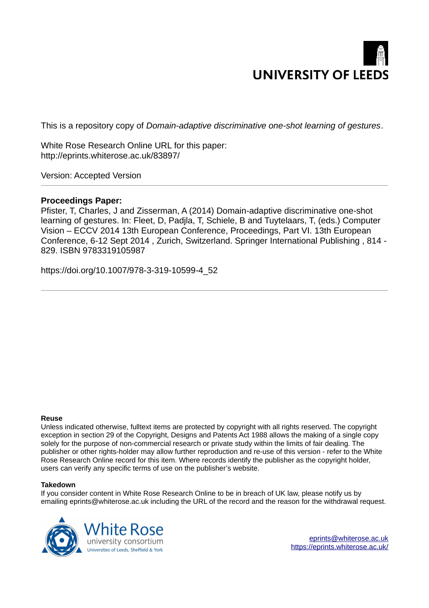# **UNIVERSITY OF LEEDS**

This is a repository copy of *Domain-adaptive discriminative one-shot learning of gestures*.

White Rose Research Online URL for this paper: http://eprints.whiterose.ac.uk/83897/

Version: Accepted Version

# **Proceedings Paper:**

Pfister, T, Charles, J and Zisserman, A (2014) Domain-adaptive discriminative one-shot learning of gestures. In: Fleet, D, Padjla, T, Schiele, B and Tuytelaars, T, (eds.) Computer Vision – ECCV 2014 13th European Conference, Proceedings, Part VI. 13th European Conference, 6-12 Sept 2014 , Zurich, Switzerland. Springer International Publishing , 814 - 829. ISBN 9783319105987

https://doi.org/10.1007/978-3-319-10599-4\_52

# **Reuse**

Unless indicated otherwise, fulltext items are protected by copyright with all rights reserved. The copyright exception in section 29 of the Copyright, Designs and Patents Act 1988 allows the making of a single copy solely for the purpose of non-commercial research or private study within the limits of fair dealing. The publisher or other rights-holder may allow further reproduction and re-use of this version - refer to the White Rose Research Online record for this item. Where records identify the publisher as the copyright holder, users can verify any specific terms of use on the publisher's website.

# **Takedown**

If you consider content in White Rose Research Online to be in breach of UK law, please notify us by emailing eprints@whiterose.ac.uk including the URL of the record and the reason for the withdrawal request.

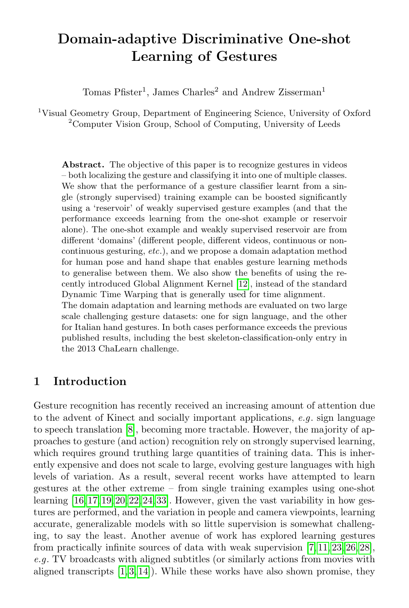# <span id="page-1-0"></span>Domain-adaptive Discriminative One-shot Learning of Gestures

Tomas Pfister<sup>1</sup>, James Charles<sup>2</sup> and Andrew Zisserman<sup>1</sup>

<sup>1</sup>Visual Geometry Group, Department of Engineering Science, University of Oxford <sup>2</sup>Computer Vision Group, School of Computing, University of Leeds

Abstract. The objective of this paper is to recognize gestures in videos – both localizing the gesture and classifying it into one of multiple classes. We show that the performance of a gesture classifier learnt from a single (strongly supervised) training example can be boosted significantly using a 'reservoir' of weakly supervised gesture examples (and that the performance exceeds learning from the one-shot example or reservoir alone). The one-shot example and weakly supervised reservoir are from different 'domains' (different people, different videos, continuous or noncontinuous gesturing, etc.), and we propose a domain adaptation method for human pose and hand shape that enables gesture learning methods to generalise between them. We also show the benefits of using the recently introduced Global Alignment Kernel [\[12\]](#page-14-0), instead of the standard Dynamic Time Warping that is generally used for time alignment. The domain adaptation and learning methods are evaluated on two large scale challenging gesture datasets: one for sign language, and the other for Italian hand gestures. In both cases performance exceeds the previous published results, including the best skeleton-classification-only entry in

## the 2013 ChaLearn challenge.

# 1 Introduction

Gesture recognition has recently received an increasing amount of attention due to the advent of Kinect and socially important applications, e.g. sign language to speech translation [\[8\]](#page-14-1), becoming more tractable. However, the majority of approaches to gesture (and action) recognition rely on strongly supervised learning, which requires ground truthing large quantities of training data. This is inherently expensive and does not scale to large, evolving gesture languages with high levels of variation. As a result, several recent works have attempted to learn gestures at the other extreme – from single training examples using one-shot learning [\[16,](#page-14-2) [17,](#page-14-3) [19,](#page-14-4) [20,](#page-14-5) [22,](#page-14-6) [24,](#page-15-0) [33\]](#page-15-1). However, given the vast variability in how gestures are performed, and the variation in people and camera viewpoints, learning accurate, generalizable models with so little supervision is somewhat challenging, to say the least. Another avenue of work has explored learning gestures from practically infinite sources of data with weak supervision [\[7,](#page-14-7) [11,](#page-14-8) [23,](#page-14-9) [26,](#page-15-2) [28\]](#page-15-3), e.g. TV broadcasts with aligned subtitles (or similarly actions from movies with aligned transcripts  $[1, 3, 14]$  $[1, 3, 14]$  $[1, 3, 14]$ . While these works have also shown promise, they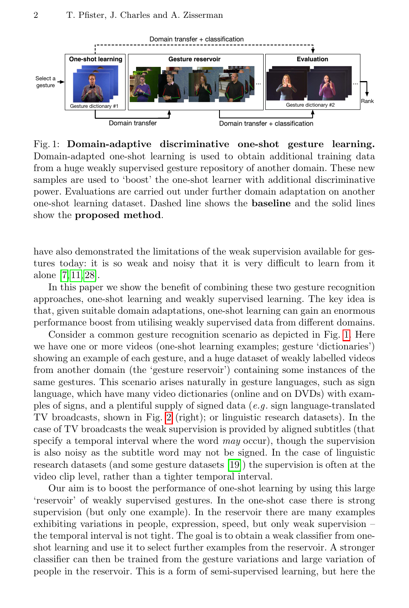<span id="page-2-0"></span>

Fig. 1: Domain-adaptive discriminative one-shot gesture learning. Domain-adapted one-shot learning is used to obtain additional training data from a huge weakly supervised gesture repository of another domain. These new samples are used to 'boost' the one-shot learner with additional discriminative power. Evaluations are carried out under further domain adaptation on another one-shot learning dataset. Dashed line shows the baseline and the solid lines show the proposed method.

have also demonstrated the limitations of the weak supervision available for gestures today: it is so weak and noisy that it is very difficult to learn from it alone [\[7,](#page-14-7) [11,](#page-14-8) [28\]](#page-15-3).

In this paper we show the benefit of combining these two gesture recognition approaches, one-shot learning and weakly supervised learning. The key idea is that, given suitable domain adaptations, one-shot learning can gain an enormous performance boost from utilising weakly supervised data from different domains.

Consider a common gesture recognition scenario as depicted in Fig. [1.](#page-1-0) Here we have one or more videos (one-shot learning examples; gesture 'dictionaries') showing an example of each gesture, and a huge dataset of weakly labelled videos from another domain (the 'gesture reservoir') containing some instances of the same gestures. This scenario arises naturally in gesture languages, such as sign language, which have many video dictionaries (online and on DVDs) with examples of signs, and a plentiful supply of signed data (e.g. sign language-translated TV broadcasts, shown in Fig. [2](#page-2-0) (right); or linguistic research datasets). In the case of TV broadcasts the weak supervision is provided by aligned subtitles (that specify a temporal interval where the word  $may$  occur), though the supervision is also noisy as the subtitle word may not be signed. In the case of linguistic research datasets (and some gesture datasets [\[19\]](#page-14-4)) the supervision is often at the video clip level, rather than a tighter temporal interval.

<span id="page-2-1"></span>Our aim is to boost the performance of one-shot learning by using this large 'reservoir' of weakly supervised gestures. In the one-shot case there is strong supervision (but only one example). In the reservoir there are many examples exhibiting variations in people, expression, speed, but only weak supervision – the temporal interval is not tight. The goal is to obtain a weak classifier from oneshot learning and use it to select further examples from the reservoir. A stronger classifier can then be trained from the gesture variations and large variation of people in the reservoir. This is a form of semi-supervised learning, but here the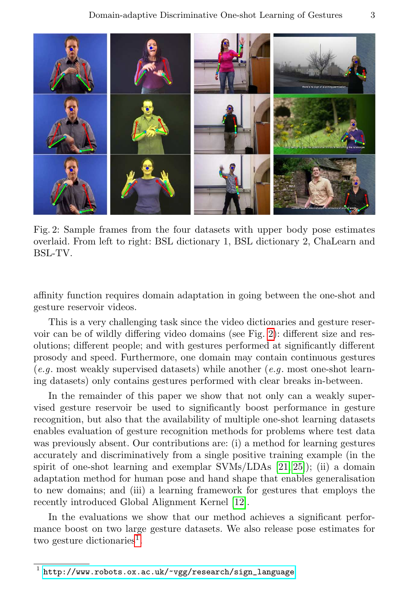

Fig. 2: Sample frames from the four datasets with upper body pose estimates overlaid. From left to right: BSL dictionary 1, BSL dictionary 2, ChaLearn and BSL-TV.

affinity function requires domain adaptation in going between the one-shot and gesture reservoir videos.

This is a very challenging task since the video dictionaries and gesture reservoir can be of wildly differing video domains (see Fig. [2\)](#page-2-0): different size and resolutions; different people; and with gestures performed at significantly different prosody and speed. Furthermore, one domain may contain continuous gestures  $(e,q)$  most weakly supervised datasets) while another  $(e,q)$  most one-shot learning datasets) only contains gestures performed with clear breaks in-between.

<span id="page-3-0"></span>In the remainder of this paper we show that not only can a weakly supervised gesture reservoir be used to significantly boost performance in gesture recognition, but also that the availability of multiple one-shot learning datasets enables evaluation of gesture recognition methods for problems where test data was previously absent. Our contributions are: (i) a method for learning gestures accurately and discriminatively from a single positive training example (in the spirit of one-shot learning and exemplar  $\text{SVMs}(\text{LDAs} [21, 25])$  $\text{SVMs}(\text{LDAs} [21, 25])$  $\text{SVMs}(\text{LDAs} [21, 25])$  $\text{SVMs}(\text{LDAs} [21, 25])$ ; (ii) a domain adaptation method for human pose and hand shape that enables generalisation to new domains; and (iii) a learning framework for gestures that employs the recently introduced Global Alignment Kernel [\[12\]](#page-14-0).

In the evaluations we show that our method achieves a significant performance boost on two large gesture datasets. We also release pose estimates for two gesture dictionaries<sup>[1](#page-2-1)</sup>.

 $^{\rm 1}$  [http://www.robots.ox.ac.uk/~vgg/research/sign\\_language](http://www.robots.ox.ac.uk/~vgg/research/sign_language)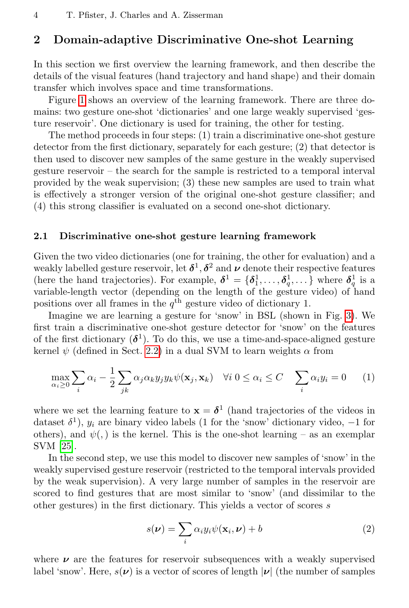# <span id="page-4-0"></span>2 Domain-adaptive Discriminative One-shot Learning

In this section we first overview the learning framework, and then describe the details of the visual features (hand trajectory and hand shape) and their domain transfer which involves space and time transformations.

Figure [1](#page-1-0) shows an overview of the learning framework. There are three domains: two gesture one-shot 'dictionaries' and one large weakly supervised 'gesture reservoir'. One dictionary is used for training, the other for testing.

The method proceeds in four steps: (1) train a discriminative one-shot gesture detector from the first dictionary, separately for each gesture; (2) that detector is then used to discover new samples of the same gesture in the weakly supervised gesture reservoir – the search for the sample is restricted to a temporal interval provided by the weak supervision; (3) these new samples are used to train what is effectively a stronger version of the original one-shot gesture classifier; and (4) this strong classifier is evaluated on a second one-shot dictionary.

#### 2.1 Discriminative one-shot gesture learning framework

Given the two video dictionaries (one for training, the other for evaluation) and a weakly labelled gesture reservoir, let  $\delta^1, \delta^2$  and  $\nu$  denote their respective features (here the hand trajectories). For example,  $\delta^1 = \{\delta_1^1, \ldots, \delta_q^1, \ldots\}$  where  $\delta_q^1$  is a variable-length vector (depending on the length of the gesture video) of hand positions over all frames in the  $q^{\text{th}}$  gesture video of dictionary 1.

Imagine we are learning a gesture for 'snow' in BSL (shown in Fig. [3\)](#page-4-0). We first train a discriminative one-shot gesture detector for 'snow' on the features of the first dictionary  $(\delta^1)$ . To do this, we use a time-and-space-aligned gesture kernel  $\psi$  (defined in Sect. [2.2\)](#page-4-1) in a dual SVM to learn weights  $\alpha$  from

$$
\max_{\alpha_i \ge 0} \sum_i \alpha_i - \frac{1}{2} \sum_{jk} \alpha_j \alpha_k y_j y_k \psi(\mathbf{x}_j, \mathbf{x}_k) \quad \forall i \ 0 \le \alpha_i \le C \quad \sum_i \alpha_i y_i = 0 \tag{1}
$$

<span id="page-4-1"></span>where we set the learning feature to  $\mathbf{x} = \boldsymbol{\delta}^1$  (hand trajectories of the videos in dataset  $\delta^1$ ),  $y_i$  are binary video labels (1 for the 'snow' dictionary video, -1 for others), and  $\psi(.)$  is the kernel. This is the one-shot learning – as an exemplar SVM [\[25\]](#page-15-4).

In the second step, we use this model to discover new samples of 'snow' in the weakly supervised gesture reservoir (restricted to the temporal intervals provided by the weak supervision). A very large number of samples in the reservoir are scored to find gestures that are most similar to 'snow' (and dissimilar to the other gestures) in the first dictionary. This yields a vector of scores s

$$
s(\nu) = \sum_{i} \alpha_i y_i \psi(\mathbf{x}_i, \nu) + b \tag{2}
$$

where  $\nu$  are the features for reservoir subsequences with a weakly supervised label 'snow'. Here,  $s(\nu)$  is a vector of scores of length  $|\nu|$  (the number of samples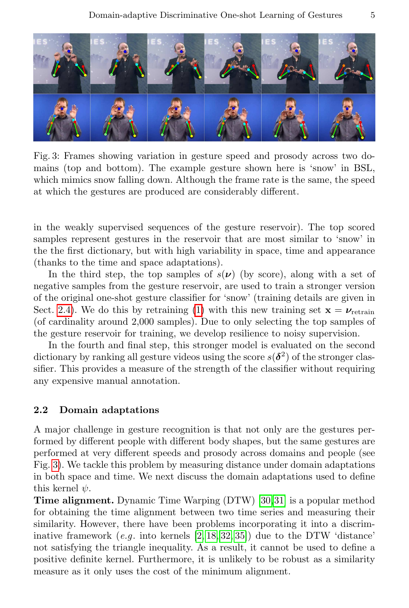<span id="page-5-0"></span>

Fig. 3: Frames showing variation in gesture speed and prosody across two domains (top and bottom). The example gesture shown here is 'snow' in BSL, which mimics snow falling down. Although the frame rate is the same, the speed at which the gestures are produced are considerably different.

in the weakly supervised sequences of the gesture reservoir). The top scored samples represent gestures in the reservoir that are most similar to 'snow' in the the first dictionary, but with high variability in space, time and appearance (thanks to the time and space adaptations).

In the third step, the top samples of  $s(\nu)$  (by score), along with a set of negative samples from the gesture reservoir, are used to train a stronger version of the original one-shot gesture classifier for 'snow' (training details are given in Sect. [2.4\)](#page-7-0). We do this by retraining [\(1\)](#page-3-0) with this new training set  $\mathbf{x} = \boldsymbol{\nu}_{\text{refrain}}$ (of cardinality around 2,000 samples). Due to only selecting the top samples of the gesture reservoir for training, we develop resilience to noisy supervision.

In the fourth and final step, this stronger model is evaluated on the second dictionary by ranking all gesture videos using the score  $s(\delta^2)$  of the stronger classifier. This provides a measure of the strength of the classifier without requiring any expensive manual annotation.

## 2.2 Domain adaptations

A major challenge in gesture recognition is that not only are the gestures performed by different people with different body shapes, but the same gestures are performed at very different speeds and prosody across domains and people (see Fig. [3\)](#page-4-0). We tackle this problem by measuring distance under domain adaptations in both space and time. We next discuss the domain adaptations used to define this kernel  $\psi$ .

Time alignment. Dynamic Time Warping (DTW) [\[30,](#page-15-5)[31\]](#page-15-6) is a popular method for obtaining the time alignment between two time series and measuring their similarity. However, there have been problems incorporating it into a discriminative framework  $(e.g.$  into kernels  $[2, 18, 32, 35]$  $[2, 18, 32, 35]$  $[2, 18, 32, 35]$  $[2, 18, 32, 35]$  due to the DTW 'distance' not satisfying the triangle inequality. As a result, it cannot be used to define a positive definite kernel. Furthermore, it is unlikely to be robust as a similarity measure as it only uses the cost of the minimum alignment.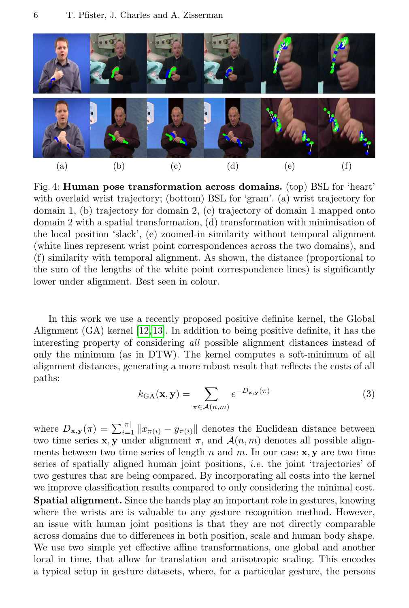<span id="page-6-0"></span>

Fig. 4: Human pose transformation across domains. (top) BSL for 'heart' with overlaid wrist trajectory; (bottom) BSL for 'gram'. (a) wrist trajectory for domain 1, (b) trajectory for domain 2, (c) trajectory of domain 1 mapped onto domain 2 with a spatial transformation, (d) transformation with minimisation of the local position 'slack', (e) zoomed-in similarity without temporal alignment (white lines represent wrist point correspondences across the two domains), and (f) similarity with temporal alignment. As shown, the distance (proportional to the sum of the lengths of the white point correspondence lines) is significantly lower under alignment. Best seen in colour.

In this work we use a recently proposed positive definite kernel, the Global Alignment (GA) kernel [\[12,](#page-14-0) [13\]](#page-14-16). In addition to being positive definite, it has the interesting property of considering all possible alignment distances instead of only the minimum (as in DTW). The kernel computes a soft-minimum of all alignment distances, generating a more robust result that reflects the costs of all paths:

$$
k_{\text{GA}}(\mathbf{x}, \mathbf{y}) = \sum_{\pi \in \mathcal{A}(n,m)} e^{-D_{\mathbf{x}, \mathbf{y}}(\pi)} \tag{3}
$$

where  $D_{\mathbf{x},\mathbf{y}}(\pi) = \sum_{i=1}^{|\pi|} ||x_{\pi(i)} - y_{\pi(i)}||$  denotes the Euclidean distance between two time series x, y under alignment  $\pi$ , and  $\mathcal{A}(n,m)$  denotes all possible alignments between two time series of length  $n$  and  $m$ . In our case  $\mathbf{x}, \mathbf{y}$  are two time series of spatially aligned human joint positions, i.e. the joint 'trajectories' of two gestures that are being compared. By incorporating all costs into the kernel we improve classification results compared to only considering the minimal cost. **Spatial alignment.** Since the hands play an important role in gestures, knowing where the wrists are is valuable to any gesture recognition method. However, an issue with human joint positions is that they are not directly comparable across domains due to differences in both position, scale and human body shape. We use two simple yet effective affine transformations, one global and another local in time, that allow for translation and anisotropic scaling. This encodes a typical setup in gesture datasets, where, for a particular gesture, the persons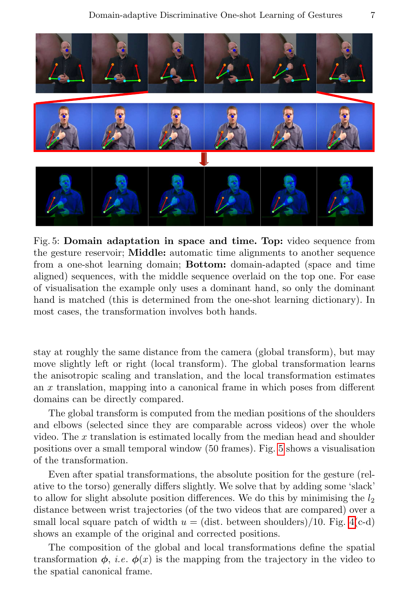

Fig. 5: Domain adaptation in space and time. Top: video sequence from the gesture reservoir: **Middle:** automatic time alignments to another sequence from a one-shot learning domain; **Bottom:** domain-adapted (space and time aligned) sequences, with the middle sequence overlaid on the top one. For ease of visualisation the example only uses a dominant hand, so only the dominant hand is matched (this is determined from the one-shot learning dictionary). In most cases, the transformation involves both hands.

stay at roughly the same distance from the camera (global transform), but may move slightly left or right (local transform). The global transformation learns the anisotropic scaling and translation, and the local transformation estimates an x translation, mapping into a canonical frame in which poses from different domains can be directly compared.

<span id="page-7-0"></span>The global transform is computed from the median positions of the shoulders and elbows (selected since they are comparable across videos) over the whole video. The x translation is estimated locally from the median head and shoulder positions over a small temporal window (50 frames). Fig. [5](#page-6-0) shows a visualisation of the transformation.

Even after spatial transformations, the absolute position for the gesture (relative to the torso) generally differs slightly. We solve that by adding some 'slack' to allow for slight absolute position differences. We do this by minimising the  $l_2$ distance between wrist trajectories (of the two videos that are compared) over a small local square patch of width  $u = (\text{dist.}$  between shoulders)/10. Fig. [4\(](#page-5-0)c-d) shows an example of the original and corrected positions.

The composition of the global and local transformations define the spatial transformation  $\phi$ , *i.e.*  $\phi(x)$  is the mapping from the trajectory in the video to the spatial canonical frame.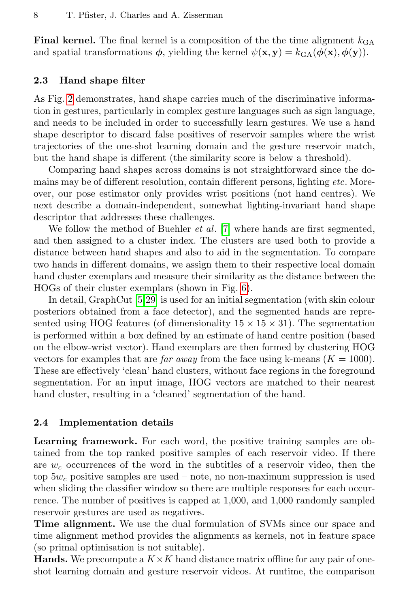<span id="page-8-0"></span>**Final kernel.** The final kernel is a composition of the the time alignment  $k_{GA}$ and spatial transformations  $\phi$ , yielding the kernel  $\psi(\mathbf{x}, \mathbf{y}) = k_{GA}(\phi(\mathbf{x}), \phi(\mathbf{y}))$ .

## 2.3 Hand shape filter

As Fig. [2](#page-2-0) demonstrates, hand shape carries much of the discriminative information in gestures, particularly in complex gesture languages such as sign language, and needs to be included in order to successfully learn gestures. We use a hand shape descriptor to discard false positives of reservoir samples where the wrist trajectories of the one-shot learning domain and the gesture reservoir match, but the hand shape is different (the similarity score is below a threshold).

Comparing hand shapes across domains is not straightforward since the domains may be of different resolution, contain different persons, lighting etc. Moreover, our pose estimator only provides wrist positions (not hand centres). We next describe a domain-independent, somewhat lighting-invariant hand shape descriptor that addresses these challenges.

We follow the method of Buehler  $et$   $al$ . [\[7\]](#page-14-7) where hands are first segmented, and then assigned to a cluster index. The clusters are used both to provide a distance between hand shapes and also to aid in the segmentation. To compare two hands in different domains, we assign them to their respective local domain hand cluster exemplars and measure their similarity as the distance between the HOGs of their cluster exemplars (shown in Fig. [6\)](#page-8-0).

<span id="page-8-1"></span>In detail, GraphCut [\[5](#page-14-17)[,29\]](#page-15-9) is used for an initial segmentation (with skin colour posteriors obtained from a face detector), and the segmented hands are represented using HOG features (of dimensionality  $15 \times 15 \times 31$ ). The segmentation is performed within a box defined by an estimate of hand centre position (based on the elbow-wrist vector). Hand exemplars are then formed by clustering HOG vectors for examples that are *far away* from the face using k-means  $(K = 1000)$ . These are effectively 'clean' hand clusters, without face regions in the foreground segmentation. For an input image, HOG vectors are matched to their nearest hand cluster, resulting in a 'cleaned' segmentation of the hand.

#### 2.4 Implementation details

Learning framework. For each word, the positive training samples are obtained from the top ranked positive samples of each reservoir video. If there are  $w_c$  occurrences of the word in the subtitles of a reservoir video, then the top  $5w_c$  positive samples are used – note, no non-maximum suppression is used when sliding the classifier window so there are multiple responses for each occurrence. The number of positives is capped at 1,000, and 1,000 randomly sampled reservoir gestures are used as negatives.

Time alignment. We use the dual formulation of SVMs since our space and time alignment method provides the alignments as kernels, not in feature space (so primal optimisation is not suitable).

**Hands.** We precompute a  $K \times K$  hand distance matrix offline for any pair of oneshot learning domain and gesture reservoir videos. At runtime, the comparison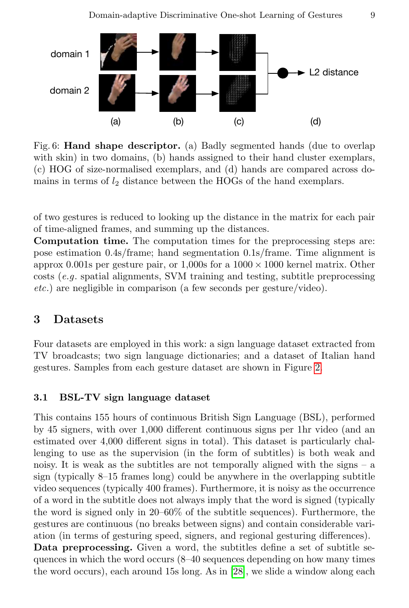

Fig. 6: Hand shape descriptor. (a) Badly segmented hands (due to overlap with skin) in two domains, (b) hands assigned to their hand cluster exemplars, (c) HOG of size-normalised exemplars, and (d) hands are compared across domains in terms of  $l_2$  distance between the HOGs of the hand exemplars.

of two gestures is reduced to looking up the distance in the matrix for each pair of time-aligned frames, and summing up the distances.

Computation time. The computation times for the preprocessing steps are: pose estimation 0.4s/frame; hand segmentation 0.1s/frame. Time alignment is approx 0.001s per gesture pair, or  $1,000s$  for a  $1000 \times 1000$  kernel matrix. Other costs (e.g. spatial alignments, SVM training and testing, subtitle preprocessing etc.) are negligible in comparison (a few seconds per gesture/video).

# 3 Datasets

Four datasets are employed in this work: a sign language dataset extracted from TV broadcasts; two sign language dictionaries; and a dataset of Italian hand gestures. Samples from each gesture dataset are shown in Figure [2.](#page-2-0)

#### 3.1 BSL-TV sign language dataset

This contains 155 hours of continuous British Sign Language (BSL), performed by 45 signers, with over 1,000 different continuous signs per 1hr video (and an estimated over 4,000 different signs in total). This dataset is particularly challenging to use as the supervision (in the form of subtitles) is both weak and noisy. It is weak as the subtitles are not temporally aligned with the signs  $-$  a sign (typically 8–15 frames long) could be anywhere in the overlapping subtitle video sequences (typically 400 frames). Furthermore, it is noisy as the occurrence of a word in the subtitle does not always imply that the word is signed (typically the word is signed only in 20–60% of the subtitle sequences). Furthermore, the gestures are continuous (no breaks between signs) and contain considerable variation (in terms of gesturing speed, signers, and regional gesturing differences).

Data preprocessing. Given a word, the subtitles define a set of subtitle sequences in which the word occurs (8–40 sequences depending on how many times the word occurs), each around 15s long. As in [\[28\]](#page-15-3), we slide a window along each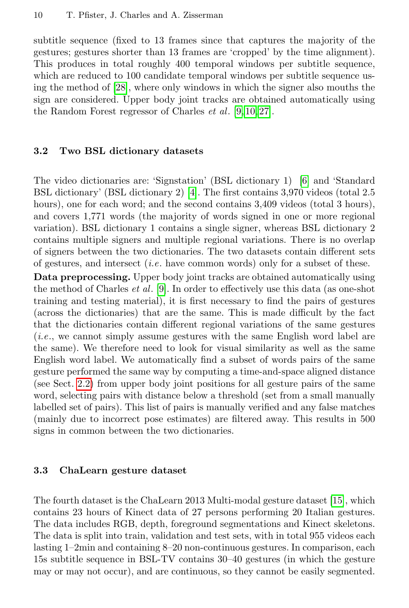subtitle sequence (fixed to 13 frames since that captures the majority of the gestures; gestures shorter than 13 frames are 'cropped' by the time alignment). This produces in total roughly 400 temporal windows per subtitle sequence, which are reduced to 100 candidate temporal windows per subtitle sequence using the method of [\[28\]](#page-15-3), where only windows in which the signer also mouths the sign are considered. Upper body joint tracks are obtained automatically using the Random Forest regressor of Charles *et al.* [\[9,](#page-14-18) [10,](#page-14-19) [27\]](#page-15-10).

### 3.2 Two BSL dictionary datasets

The video dictionaries are: 'Signstation' (BSL dictionary 1) [\[6\]](#page-14-20) and 'Standard BSL dictionary' (BSL dictionary 2) [\[4\]](#page-14-21). The first contains 3,970 videos (total 2.5 hours), one for each word; and the second contains 3,409 videos (total 3 hours), and covers 1,771 words (the majority of words signed in one or more regional variation). BSL dictionary 1 contains a single signer, whereas BSL dictionary 2 contains multiple signers and multiple regional variations. There is no overlap of signers between the two dictionaries. The two datasets contain different sets of gestures, and intersect (*i.e.* have common words) only for a subset of these.

Data preprocessing. Upper body joint tracks are obtained automatically using the method of Charles *et al.* [\[9\]](#page-14-18). In order to effectively use this data (as one-shot training and testing material), it is first necessary to find the pairs of gestures (across the dictionaries) that are the same. This is made difficult by the fact that the dictionaries contain different regional variations of the same gestures  $(i.e.,$  we cannot simply assume gestures with the same English word label are the same). We therefore need to look for visual similarity as well as the same English word label. We automatically find a subset of words pairs of the same gesture performed the same way by computing a time-and-space aligned distance (see Sect. [2.2\)](#page-5-0) from upper body joint positions for all gesture pairs of the same word, selecting pairs with distance below a threshold (set from a small manually labelled set of pairs). This list of pairs is manually verified and any false matches (mainly due to incorrect pose estimates) are filtered away. This results in 500 signs in common between the two dictionaries.

#### 3.3 ChaLearn gesture dataset

The fourth dataset is the ChaLearn 2013 Multi-modal gesture dataset [\[15\]](#page-14-22), which contains 23 hours of Kinect data of 27 persons performing 20 Italian gestures. The data includes RGB, depth, foreground segmentations and Kinect skeletons. The data is split into train, validation and test sets, with in total 955 videos each lasting 1–2min and containing 8–20 non-continuous gestures. In comparison, each 15s subtitle sequence in BSL-TV contains 30–40 gestures (in which the gesture may or may not occur), and are continuous, so they cannot be easily segmented.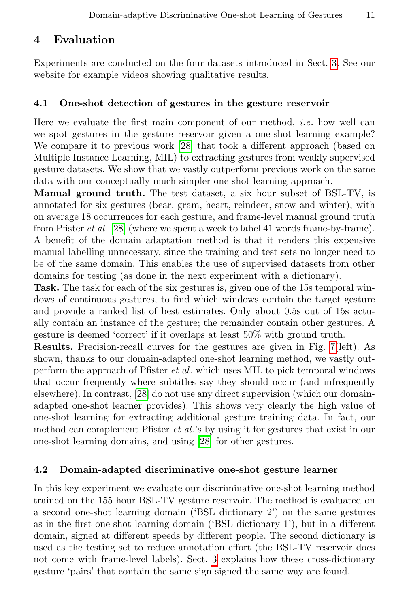# <span id="page-11-0"></span>4 Evaluation

Experiments are conducted on the four datasets introduced in Sect. [3.](#page-8-1) See our website for example videos showing qualitative results.

#### 4.1 One-shot detection of gestures in the gesture reservoir

Here we evaluate the first main component of our method, i.e. how well can we spot gestures in the gesture reservoir given a one-shot learning example? We compare it to previous work [\[28\]](#page-15-3) that took a different approach (based on Multiple Instance Learning, MIL) to extracting gestures from weakly supervised gesture datasets. We show that we vastly outperform previous work on the same data with our conceptually much simpler one-shot learning approach.

Manual ground truth. The test dataset, a six hour subset of BSL-TV, is annotated for six gestures (bear, gram, heart, reindeer, snow and winter), with on average 18 occurrences for each gesture, and frame-level manual ground truth from Pfister et al. [\[28\]](#page-15-3) (where we spent a week to label 41 words frame-by-frame). A benefit of the domain adaptation method is that it renders this expensive manual labelling unnecessary, since the training and test sets no longer need to be of the same domain. This enables the use of supervised datasets from other domains for testing (as done in the next experiment with a dictionary).

Task. The task for each of the six gestures is, given one of the 15s temporal windows of continuous gestures, to find which windows contain the target gesture and provide a ranked list of best estimates. Only about 0.5s out of 15s actually contain an instance of the gesture; the remainder contain other gestures. A gesture is deemed 'correct' if it overlaps at least 50% with ground truth.

Results. Precision-recall curves for the gestures are given in Fig. [7\(](#page-11-0)left). As shown, thanks to our domain-adapted one-shot learning method, we vastly outperform the approach of Pfister et al. which uses MIL to pick temporal windows that occur frequently where subtitles say they should occur (and infrequently elsewhere). In contrast, [\[28\]](#page-15-3) do not use any direct supervision (which our domainadapted one-shot learner provides). This shows very clearly the high value of one-shot learning for extracting additional gesture training data. In fact, our method can complement Pfister et al.'s by using it for gestures that exist in our one-shot learning domains, and using [\[28\]](#page-15-3) for other gestures.

#### 4.2 Domain-adapted discriminative one-shot gesture learner

In this key experiment we evaluate our discriminative one-shot learning method trained on the 155 hour BSL-TV gesture reservoir. The method is evaluated on a second one-shot learning domain ('BSL dictionary 2') on the same gestures as in the first one-shot learning domain ('BSL dictionary 1'), but in a different domain, signed at different speeds by different people. The second dictionary is used as the testing set to reduce annotation effort (the BSL-TV reservoir does not come with frame-level labels). Sect. [3](#page-8-1) explains how these cross-dictionary gesture 'pairs' that contain the same sign signed the same way are found.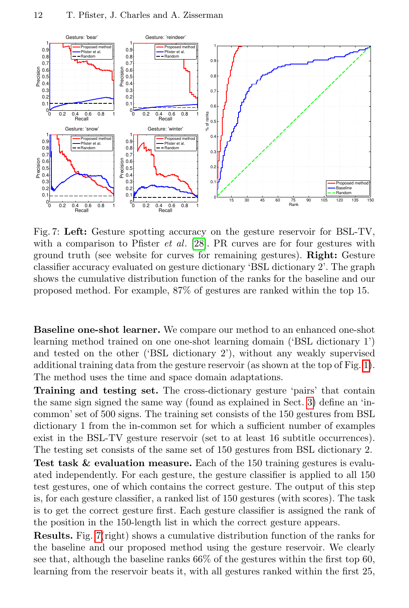

Fig. 7: Left: Gesture spotting accuracy on the gesture reservoir for BSL-TV, with a comparison to Pfister *et al.* [\[28\]](#page-15-3). PR curves are for four gestures with ground truth (see website for curves for remaining gestures). **Right:** Gesture classifier accuracy evaluated on gesture dictionary 'BSL dictionary 2'. The graph shows the cumulative distribution function of the ranks for the baseline and our proposed method. For example, 87% of gestures are ranked within the top 15.

Baseline one-shot learner. We compare our method to an enhanced one-shot learning method trained on one one-shot learning domain ('BSL dictionary 1') and tested on the other ('BSL dictionary 2'), without any weakly supervised additional training data from the gesture reservoir (as shown at the top of Fig. [1\)](#page-1-0). The method uses the time and space domain adaptations.

Training and testing set. The cross-dictionary gesture 'pairs' that contain the same sign signed the same way (found as explained in Sect. [3\)](#page-8-1) define an 'incommon' set of 500 signs. The training set consists of the 150 gestures from BSL dictionary 1 from the in-common set for which a sufficient number of examples exist in the BSL-TV gesture reservoir (set to at least 16 subtitle occurrences). The testing set consists of the same set of 150 gestures from BSL dictionary 2.

Test task  $\&$  evaluation measure. Each of the 150 training gestures is evaluated independently. For each gesture, the gesture classifier is applied to all 150 test gestures, one of which contains the correct gesture. The output of this step is, for each gesture classifier, a ranked list of 150 gestures (with scores). The task is to get the correct gesture first. Each gesture classifier is assigned the rank of the position in the 150-length list in which the correct gesture appears.

Results. Fig. [7\(](#page-11-0)right) shows a cumulative distribution function of the ranks for the baseline and our proposed method using the gesture reservoir. We clearly see that, although the baseline ranks 66% of the gestures within the first top 60, learning from the reservoir beats it, with all gestures ranked within the first 25,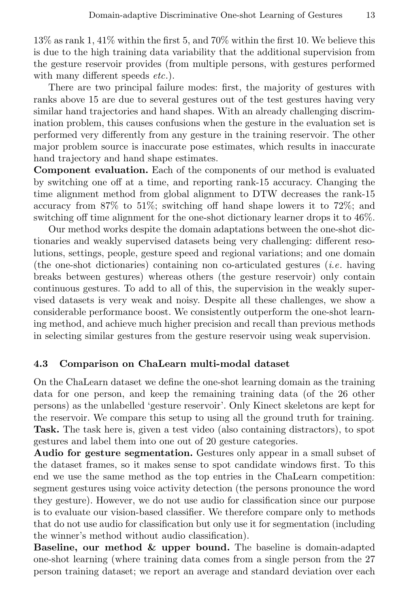13% as rank 1, 41% within the first 5, and 70% within the first 10. We believe this is due to the high training data variability that the additional supervision from the gesture reservoir provides (from multiple persons, with gestures performed with many different speeds *etc.*).

There are two principal failure modes: first, the majority of gestures with ranks above 15 are due to several gestures out of the test gestures having very similar hand trajectories and hand shapes. With an already challenging discrimination problem, this causes confusions when the gesture in the evaluation set is performed very differently from any gesture in the training reservoir. The other major problem source is inaccurate pose estimates, which results in inaccurate hand trajectory and hand shape estimates.

Component evaluation. Each of the components of our method is evaluated by switching one off at a time, and reporting rank-15 accuracy. Changing the time alignment method from global alignment to DTW decreases the rank-15 accuracy from 87% to 51%; switching off hand shape lowers it to 72%; and switching off time alignment for the one-shot dictionary learner drops it to 46%.

Our method works despite the domain adaptations between the one-shot dictionaries and weakly supervised datasets being very challenging: different resolutions, settings, people, gesture speed and regional variations; and one domain (the one-shot dictionaries) containing non co-articulated gestures (i.e. having breaks between gestures) whereas others (the gesture reservoir) only contain continuous gestures. To add to all of this, the supervision in the weakly supervised datasets is very weak and noisy. Despite all these challenges, we show a considerable performance boost. We consistently outperform the one-shot learning method, and achieve much higher precision and recall than previous methods in selecting similar gestures from the gesture reservoir using weak supervision.

#### 4.3 Comparison on ChaLearn multi-modal dataset

On the ChaLearn dataset we define the one-shot learning domain as the training data for one person, and keep the remaining training data (of the 26 other persons) as the unlabelled 'gesture reservoir'. Only Kinect skeletons are kept for the reservoir. We compare this setup to using all the ground truth for training. Task. The task here is, given a test video (also containing distractors), to spot gestures and label them into one out of 20 gesture categories.

Audio for gesture segmentation. Gestures only appear in a small subset of the dataset frames, so it makes sense to spot candidate windows first. To this end we use the same method as the top entries in the ChaLearn competition: segment gestures using voice activity detection (the persons pronounce the word they gesture). However, we do not use audio for classification since our purpose is to evaluate our vision-based classifier. We therefore compare only to methods that do not use audio for classification but only use it for segmentation (including the winner's method without audio classification).

Baseline, our method & upper bound. The baseline is domain-adapted one-shot learning (where training data comes from a single person from the 27 person training dataset; we report an average and standard deviation over each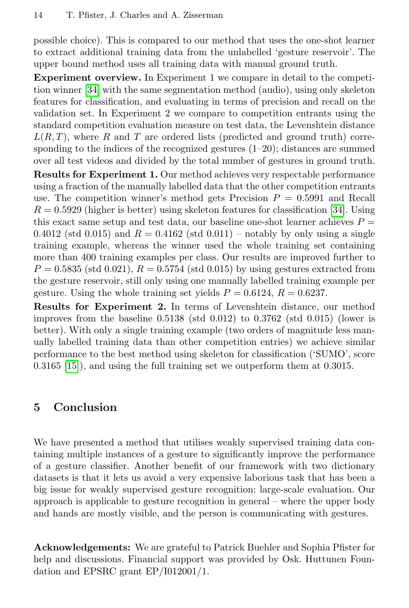possible choice). This is compared to our method that uses the one-shot learner to extract additional training data from the unlabelled 'gesture reservoir'. The upper bound method uses all training data with manual ground truth.

<span id="page-14-14"></span><span id="page-14-11"></span><span id="page-14-10"></span>Experiment overview. In Experiment 1 we compare in detail to the competition winner [\[34\]](#page-15-11) with the same segmentation method (audio), using only skeleton features for classification, and evaluating in terms of precision and recall on the validation set. In Experiment 2 we compare to competition entrants using the standard competition evaluation measure on test data, the Levenshtein distance  $L(R, T)$ , where R and T are ordered lists (predicted and ground truth) corresponding to the indices of the recognized gestures  $(1-20)$ ; distances are summed over all test videos and divided by the total number of gestures in ground truth.

<span id="page-14-21"></span><span id="page-14-20"></span><span id="page-14-17"></span><span id="page-14-7"></span><span id="page-14-1"></span>Results for Experiment 1. Our method achieves very respectable performance using a fraction of the manually labelled data that the other competition entrants use. The competition winner's method gets Precision  $P = 0.5991$  and Recall  $R = 0.5929$  (higher is better) using skeleton features for classification [\[34\]](#page-15-11). Using this exact same setup and test data, our baseline one-shot learner achieves  $P =$ 0.4012 (std 0.015) and  $R = 0.4162$  (std 0.011) – notably by only using a single training example, whereas the winner used the whole training set containing more than 400 training examples per class. Our results are improved further to  $P = 0.5835$  (std 0.021),  $R = 0.5754$  (std 0.015) by using gestures extracted from the gesture reservoir, still only using one manually labelled training example per gesture. Using the whole training set yields  $P = 0.6124$ ,  $R = 0.6237$ .

<span id="page-14-19"></span><span id="page-14-18"></span><span id="page-14-16"></span><span id="page-14-12"></span><span id="page-14-8"></span><span id="page-14-0"></span>Results for Experiment 2. In terms of Levenshtein distance, our method improves from the baseline  $0.5138$  (std  $0.012$ ) to  $0.3762$  (std  $0.015$ ) (lower is better). With only a single training example (two orders of magnitude less manually labelled training data than other competition entries) we achieve similar performance to the best method using skeleton for classification ('SUMO', score 0.3165 [\[15\]](#page-14-22)), and using the full training set we outperform them at 0.3015.

# <span id="page-14-22"></span><span id="page-14-3"></span><span id="page-14-2"></span>5 Conclusion

<span id="page-14-15"></span><span id="page-14-5"></span><span id="page-14-4"></span>We have presented a method that utilises weakly supervised training data containing multiple instances of a gesture to significantly improve the performance of a gesture classifier. Another benefit of our framework with two dictionary datasets is that it lets us avoid a very expensive laborious task that has been a big issue for weakly supervised gesture recognition: large-scale evaluation. Our approach is applicable to gesture recognition in general – where the upper body and hands are mostly visible, and the person is communicating with gestures.

<span id="page-14-13"></span><span id="page-14-9"></span><span id="page-14-6"></span>Acknowledgements: We are grateful to Patrick Buehler and Sophia Pfister for help and discussions. Financial support was provided by Osk. Huttunen Foundation and EPSRC grant EP/I012001/1.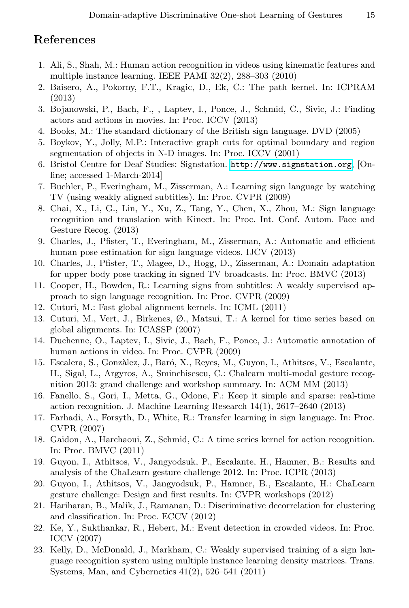# <span id="page-15-0"></span>References

- <span id="page-15-4"></span>1. Ali, S., Shah, M.: Human action recognition in videos using kinematic features and multiple instance learning. IEEE PAMI 32(2), 288–303 (2010)
- <span id="page-15-2"></span>2. Baisero, A., Pokorny, F.T., Kragic, D., Ek, C.: The path kernel. In: ICPRAM (2013)
- <span id="page-15-10"></span>3. Bojanowski, P., Bach, F., , Laptev, I., Ponce, J., Schmid, C., Sivic, J.: Finding actors and actions in movies. In: Proc. ICCV (2013)
- 4. Books, M.: The standard dictionary of the British sign language. DVD (2005)
- <span id="page-15-3"></span>5. Boykov, Y., Jolly, M.P.: Interactive graph cuts for optimal boundary and region segmentation of objects in N-D images. In: Proc. ICCV (2001)
- <span id="page-15-9"></span>6. Bristol Centre for Deaf Studies: Signstation. <http://www.signstation.org>, [Online; accessed 1-March-2014]
- <span id="page-15-5"></span>7. Buehler, P., Everingham, M., Zisserman, A.: Learning sign language by watching TV (using weakly aligned subtitles). In: Proc. CVPR (2009)
- <span id="page-15-6"></span>8. Chai, X., Li, G., Lin, Y., Xu, Z., Tang, Y., Chen, X., Zhou, M.: Sign language recognition and translation with Kinect. In: Proc. Int. Conf. Autom. Face and Gesture Recog. (2013)
- <span id="page-15-7"></span>9. Charles, J., Pfister, T., Everingham, M., Zisserman, A.: Automatic and efficient human pose estimation for sign language videos. IJCV (2013)
- <span id="page-15-1"></span>10. Charles, J., Pfister, T., Magee, D., Hogg, D., Zisserman, A.: Domain adaptation for upper body pose tracking in signed TV broadcasts. In: Proc. BMVC (2013)
- 11. Cooper, H., Bowden, R.: Learning signs from subtitles: A weakly supervised approach to sign language recognition. In: Proc. CVPR (2009)
- <span id="page-15-11"></span>12. Cuturi, M.: Fast global alignment kernels. In: ICML (2011)
- <span id="page-15-8"></span>13. Cuturi, M., Vert, J., Birkenes, Ø., Matsui, T.: A kernel for time series based on global alignments. In: ICASSP (2007)
- 14. Duchenne, O., Laptev, I., Sivic, J., Bach, F., Ponce, J.: Automatic annotation of human actions in video. In: Proc. CVPR (2009)
- 15. Escalera, S., Gonz`alez, J., Bar´o, X., Reyes, M., Guyon, I., Athitsos, V., Escalante, H., Sigal, L., Argyros, A., Sminchisescu, C.: Chalearn multi-modal gesture recognition 2013: grand challenge and workshop summary. In: ACM MM (2013)
- 16. Fanello, S., Gori, I., Metta, G., Odone, F.: Keep it simple and sparse: real-time action recognition. J. Machine Learning Research 14(1), 2617–2640 (2013)
- 17. Farhadi, A., Forsyth, D., White, R.: Transfer learning in sign language. In: Proc. CVPR (2007)
- 18. Gaidon, A., Harchaoui, Z., Schmid, C.: A time series kernel for action recognition. In: Proc. BMVC (2011)
- 19. Guyon, I., Athitsos, V., Jangyodsuk, P., Escalante, H., Hamner, B.: Results and analysis of the ChaLearn gesture challenge 2012. In: Proc. ICPR (2013)
- 20. Guyon, I., Athitsos, V., Jangyodsuk, P., Hamner, B., Escalante, H.: ChaLearn gesture challenge: Design and first results. In: CVPR workshops (2012)
- 21. Hariharan, B., Malik, J., Ramanan, D.: Discriminative decorrelation for clustering and classification. In: Proc. ECCV (2012)
- 22. Ke, Y., Sukthankar, R., Hebert, M.: Event detection in crowded videos. In: Proc. ICCV (2007)
- 23. Kelly, D., McDonald, J., Markham, C.: Weakly supervised training of a sign language recognition system using multiple instance learning density matrices. Trans. Systems, Man, and Cybernetics 41(2), 526–541 (2011)